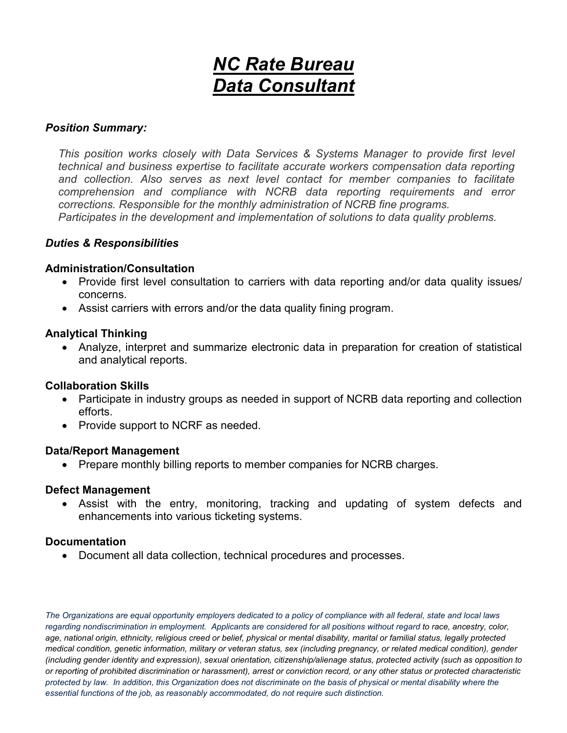# *NC Rate Bureau Data Consultant*

#### *Position Summary:*

*This position works closely with Data Services & Systems Manager to provide first level technical and business expertise to facilitate accurate workers compensation data reporting and collection. Also serves as next level contact for member companies to facilitate comprehension and compliance with NCRB data reporting requirements and error corrections. Responsible for the monthly administration of NCRB fine programs. Participates in the development and implementation of solutions to data quality problems.*

### *Duties & Responsibilities*

### **Administration/Consultation**

- Provide first level consultation to carriers with data reporting and/or data quality issues/ concerns.
- Assist carriers with errors and/or the data quality fining program.

#### **Analytical Thinking**

• Analyze, interpret and summarize electronic data in preparation for creation of statistical and analytical reports.

### **Collaboration Skills**

- Participate in industry groups as needed in support of NCRB data reporting and collection efforts.
- Provide support to NCRF as needed.

#### **Data/Report Management**

• Prepare monthly billing reports to member companies for NCRB charges.

#### **Defect Management**

• Assist with the entry, monitoring, tracking and updating of system defects and enhancements into various ticketing systems.

### **Documentation**

• Document all data collection, technical procedures and processes.

*The Organizations are equal opportunity employers dedicated to a policy of compliance with all federal, state and local laws regarding nondiscrimination in employment. Applicants are considered for all positions without regard to race, ancestry, color, age, national origin, ethnicity, religious creed or belief, physical or mental disability, marital or familial status, legally protected medical condition, genetic information, military or veteran status, sex (including pregnancy, or related medical condition), gender (including gender identity and expression), sexual orientation, citizenship/alienage status, protected activity (such as opposition to or reporting of prohibited discrimination or harassment), arrest or conviction record, or any other status or protected characteristic protected by law. In addition, this Organization does not discriminate on the basis of physical or mental disability where the essential functions of the job, as reasonably accommodated, do not require such distinction.*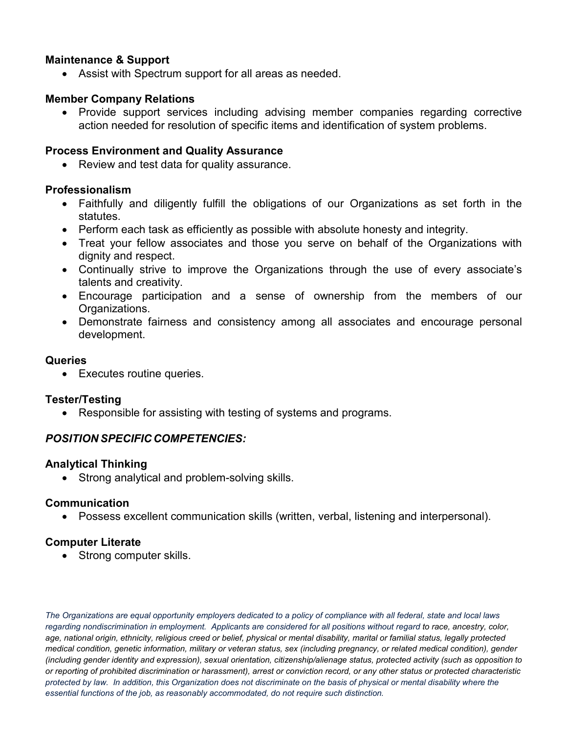## **Maintenance & Support**

• Assist with Spectrum support for all areas as needed.

## **Member Company Relations**

• Provide support services including advising member companies regarding corrective action needed for resolution of specific items and identification of system problems.

## **Process Environment and Quality Assurance**

• Review and test data for quality assurance.

## **Professionalism**

- Faithfully and diligently fulfill the obligations of our Organizations as set forth in the statutes.
- Perform each task as efficiently as possible with absolute honesty and integrity.
- Treat your fellow associates and those you serve on behalf of the Organizations with dignity and respect.
- Continually strive to improve the Organizations through the use of every associate's talents and creativity.
- Encourage participation and a sense of ownership from the members of our Organizations.
- Demonstrate fairness and consistency among all associates and encourage personal development.

### **Queries**

• Executes routine queries.

### **Tester/Testing**

• Responsible for assisting with testing of systems and programs.

## *POSITION SPECIFIC COMPETENCIES:*

### **Analytical Thinking**

• Strong analytical and problem-solving skills.

## **Communication**

• Possess excellent communication skills (written, verbal, listening and interpersonal).

## **Computer Literate**

• Strong computer skills.

*The Organizations are equal opportunity employers dedicated to a policy of compliance with all federal, state and local laws regarding nondiscrimination in employment. Applicants are considered for all positions without regard to race, ancestry, color, age, national origin, ethnicity, religious creed or belief, physical or mental disability, marital or familial status, legally protected medical condition, genetic information, military or veteran status, sex (including pregnancy, or related medical condition), gender (including gender identity and expression), sexual orientation, citizenship/alienage status, protected activity (such as opposition to or reporting of prohibited discrimination or harassment), arrest or conviction record, or any other status or protected characteristic protected by law. In addition, this Organization does not discriminate on the basis of physical or mental disability where the essential functions of the job, as reasonably accommodated, do not require such distinction.*